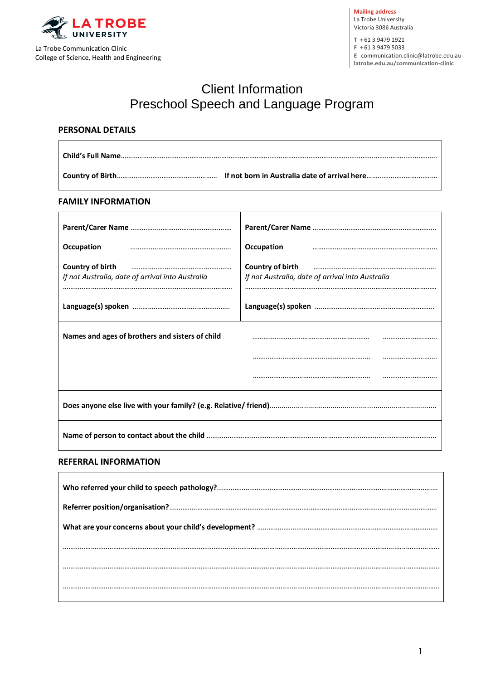

**Mailing address** La Trobe University Victoria 3086 Australia

**T** + 61 3 9479 1921 **F** + 61 3 9479 5033

**E** [communication.clinic@latrobe.edu.au](mailto:%20communication.clinic@latrobe.edu.au) 

**latrobe.edu.au/communication-clinic**

# Client Information Preschool Speech and Language Program

#### **PERSONAL DETAILS**

#### **FAMILY INFORMATION**

| Occupation                                       | Occupation                                       |  |
|--------------------------------------------------|--------------------------------------------------|--|
| Country of birth                                 | Country of birth                                 |  |
| If not Australia, date of arrival into Australia | If not Australia, date of arrival into Australia |  |
|                                                  |                                                  |  |
|                                                  |                                                  |  |
| Names and ages of brothers and sisters of child  |                                                  |  |
|                                                  |                                                  |  |
|                                                  |                                                  |  |
|                                                  |                                                  |  |
|                                                  |                                                  |  |
| <b>NIFODRAATIONI</b>                             |                                                  |  |

#### **REFERRAL INFORMATION**

 $\mathsf{r}$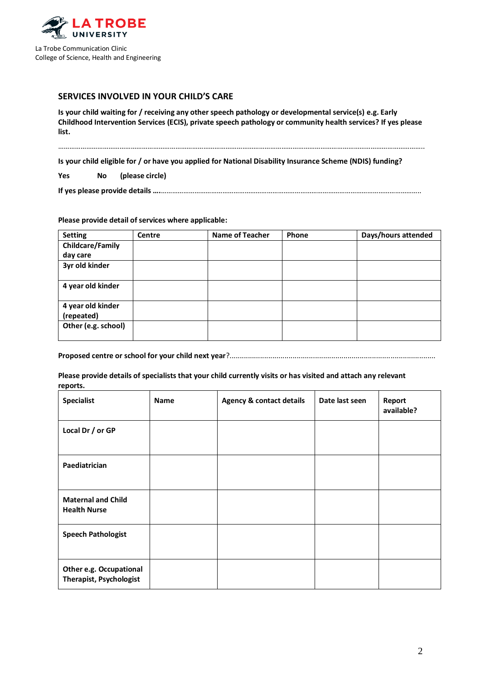

### **SERVICES INVOLVED IN YOUR CHILD'S CARE**

**Is your child waiting for / receiving any other speech pathology or developmental service(s) e.g. Early Childhood Intervention Services (ECIS), private speech pathology or community health services? If yes please list.**

……………………………………………………………………………………………………………………………………………………………………………..

**Is your child eligible for / or have you applied for National Disability Insurance Scheme (NDIS) funding?** 

**Yes No (please circle)**

#### **Please provide detail of services where applicable:**

| <b>Setting</b>                  | <b>Centre</b> | <b>Name of Teacher</b> | Phone | Days/hours attended |
|---------------------------------|---------------|------------------------|-------|---------------------|
| <b>Childcare/Family</b>         |               |                        |       |                     |
| day care                        |               |                        |       |                     |
| 3yr old kinder                  |               |                        |       |                     |
| 4 year old kinder               |               |                        |       |                     |
| 4 year old kinder<br>(repeated) |               |                        |       |                     |
| Other (e.g. school)             |               |                        |       |                     |

**Proposed centre or school for your child next year**?.....................................................................................................

**Please provide details of specialists that your child currently visits or has visited and attach any relevant reports.** 

| <b>Specialist</b>                                         | <b>Name</b> | <b>Agency &amp; contact details</b> | Date last seen | Report<br>available? |
|-----------------------------------------------------------|-------------|-------------------------------------|----------------|----------------------|
| Local Dr / or GP                                          |             |                                     |                |                      |
| Paediatrician                                             |             |                                     |                |                      |
| <b>Maternal and Child</b><br><b>Health Nurse</b>          |             |                                     |                |                      |
| <b>Speech Pathologist</b>                                 |             |                                     |                |                      |
| Other e.g. Occupational<br><b>Therapist, Psychologist</b> |             |                                     |                |                      |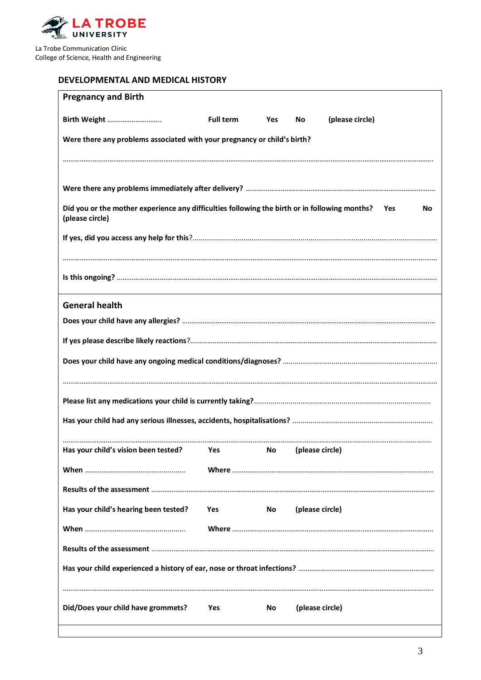

## **DEVELOPMENTAL AND MEDICAL HISTORY**

| <b>Pregnancy and Birth</b>                                                                                           |                  |                    |    |                                         |
|----------------------------------------------------------------------------------------------------------------------|------------------|--------------------|----|-----------------------------------------|
| Birth Weight                                                                                                         | <b>Full term</b> | <b>Yes</b>         | No | (please circle)                         |
| Were there any problems associated with your pregnancy or child's birth?                                             |                  |                    |    |                                         |
|                                                                                                                      |                  |                    |    |                                         |
|                                                                                                                      |                  |                    |    |                                         |
|                                                                                                                      |                  |                    |    |                                         |
| Did you or the mother experience any difficulties following the birth or in following months? Yes<br>(please circle) |                  |                    |    | No                                      |
|                                                                                                                      |                  |                    |    |                                         |
|                                                                                                                      |                  |                    |    |                                         |
|                                                                                                                      |                  |                    |    |                                         |
| <b>General health</b>                                                                                                |                  |                    |    |                                         |
|                                                                                                                      |                  |                    |    |                                         |
|                                                                                                                      |                  |                    |    |                                         |
|                                                                                                                      |                  |                    |    |                                         |
|                                                                                                                      |                  |                    |    |                                         |
|                                                                                                                      |                  |                    |    |                                         |
|                                                                                                                      |                  |                    |    |                                         |
|                                                                                                                      |                  |                    |    |                                         |
| Has your child's vision been tested? Yes                                                                             |                  | No (please circle) |    |                                         |
|                                                                                                                      |                  |                    |    |                                         |
|                                                                                                                      |                  |                    |    |                                         |
| Has your child's hearing been tested?                                                                                | <b>Yes</b>       | No.                |    | (please circle)                         |
|                                                                                                                      |                  |                    |    | Where ……………………………………………………………………………………… |
|                                                                                                                      |                  |                    |    |                                         |
|                                                                                                                      |                  |                    |    |                                         |
|                                                                                                                      |                  |                    |    |                                         |
| Did/Does your child have grommets?                                                                                   | Yes              | No                 |    | (please circle)                         |
|                                                                                                                      |                  |                    |    |                                         |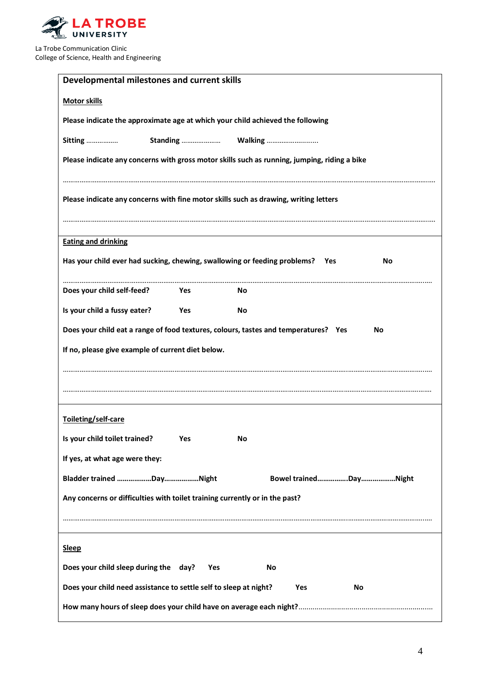

| Developmental milestones and current skills                                                  |
|----------------------------------------------------------------------------------------------|
| <b>Motor skills</b>                                                                          |
| Please indicate the approximate age at which your child achieved the following               |
| Sitting                                                                                      |
| Please indicate any concerns with gross motor skills such as running, jumping, riding a bike |
|                                                                                              |
| Please indicate any concerns with fine motor skills such as drawing, writing letters         |
|                                                                                              |
| <b>Eating and drinking</b>                                                                   |
| Has your child ever had sucking, chewing, swallowing or feeding problems? Yes<br>No          |
| Does your child self-feed?<br>Yes<br>No                                                      |
| Is your child a fussy eater?<br><b>Yes</b><br>No                                             |
| Does your child eat a range of food textures, colours, tastes and temperatures? Yes<br>No    |
| If no, please give example of current diet below.                                            |
|                                                                                              |
|                                                                                              |
| Toileting/self-care                                                                          |
| Is your child toilet trained?<br>Yes<br>No                                                   |
| If yes, at what age were they:                                                               |
|                                                                                              |
| Any concerns or difficulties with toilet training currently or in the past?                  |
|                                                                                              |
|                                                                                              |
| <b>Sleep</b>                                                                                 |
| Does your child sleep during the day?<br>No<br>Yes                                           |
| Does your child need assistance to settle self to sleep at night?<br>Yes<br>No               |
|                                                                                              |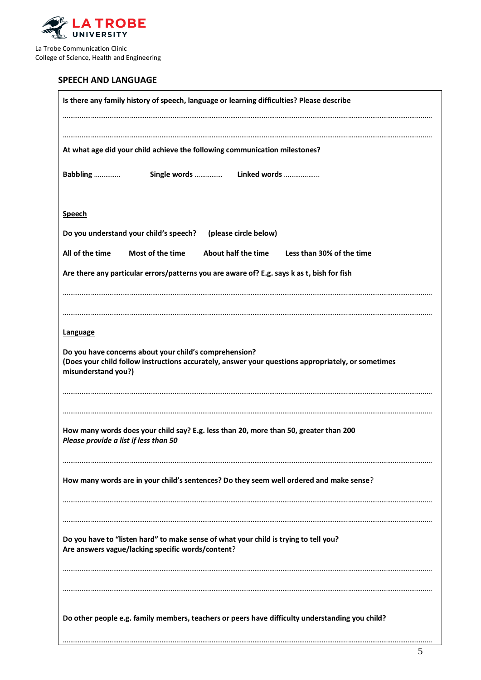

## **SPEECH AND LANGUAGE**

| Is there any family history of speech, language or learning difficulties? Please describe                                                                                           |
|-------------------------------------------------------------------------------------------------------------------------------------------------------------------------------------|
|                                                                                                                                                                                     |
| At what age did your child achieve the following communication milestones?                                                                                                          |
| Single words  Linked words<br>Babbling                                                                                                                                              |
| <b>Speech</b>                                                                                                                                                                       |
| Do you understand your child's speech?<br>(please circle below)                                                                                                                     |
| All of the time<br>Most of the time<br>About half the time<br>Less than 30% of the time                                                                                             |
| Are there any particular errors/patterns you are aware of? E.g. says k as t, bish for fish                                                                                          |
|                                                                                                                                                                                     |
|                                                                                                                                                                                     |
| <b>Language</b>                                                                                                                                                                     |
| Do you have concerns about your child's comprehension?<br>(Does your child follow instructions accurately, answer your questions appropriately, or sometimes<br>misunderstand you?) |
|                                                                                                                                                                                     |
| How many words does your child say? E.g. less than 20, more than 50, greater than 200<br>Please provide a list if less than 50                                                      |
| How many words are in your child's sentences? Do they seem well ordered and make sense?                                                                                             |
|                                                                                                                                                                                     |
| Do you have to "listen hard" to make sense of what your child is trying to tell you?<br>Are answers vague/lacking specific words/content?                                           |
|                                                                                                                                                                                     |
| Do other people e.g. family members, teachers or peers have difficulty understanding you child?                                                                                     |